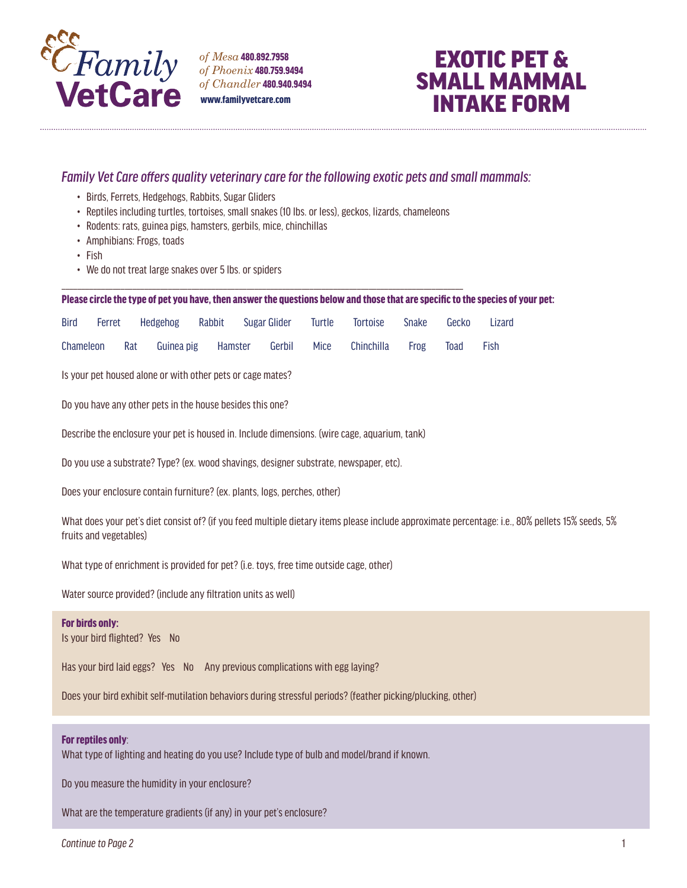

*of Mesa* 480.892.7958 *of Phoenix* 480.759.9494 *of Chandler* 480.940.9494 www.familyvetcare.com

# EXOTIC PET & SMALL MAMMAL INTAKE FORM

## *Family Vet Care offers quality veterinary care for the following exotic pets and small mammals:*

- Birds, Ferrets, Hedgehogs, Rabbits, Sugar Gliders
- Reptiles including turtles, tortoises, small snakes (10 lbs. or less), geckos, lizards, chameleons

\_\_\_\_\_\_\_\_\_\_\_\_\_\_\_\_\_\_\_\_\_\_\_\_\_\_\_\_\_\_\_\_\_\_\_\_\_\_\_\_\_\_\_\_\_\_\_\_\_\_\_\_\_\_\_\_\_\_\_\_\_\_\_\_\_\_\_\_\_\_\_\_\_\_\_\_\_\_\_\_\_\_\_\_\_\_\_\_\_\_\_\_\_\_\_\_\_\_\_\_\_\_

- Rodents: rats, guinea pigs, hamsters, gerbils, mice, chinchillas
- Amphibians: Frogs, toads
- Fish
- We do not treat large snakes over 5 lbs. or spiders

#### Please circle the type of pet you have, then answer the questions below and those that are specific to the species of your pet:

| Bird | Ferret Hedgehog Rabbit Sugar-Glider Turtle Tortoise Snake Gecko Lizard |  |  |  |  |
|------|------------------------------------------------------------------------|--|--|--|--|
|      | Chameleon Rat Guinea-pig Hamster Gerbil Mice Chinchilla Frog Toad Fish |  |  |  |  |

Is your pet housed alone or with other pets or cage mates?

Do you have any other pets in the house besides this one?

Describe the enclosure your pet is housed in. Include dimensions. (wire cage, aquarium, tank)

Do you use a substrate? Type? (ex. wood shavings, designer substrate, newspaper, etc).

Does your enclosure contain furniture? (ex. plants, logs, perches, other)

What does your pet's diet consist of? (if you feed multiple dietary items please include approximate percentage: i.e., 80% pellets 15% seeds, 5% fruits and vegetables)

What type of enrichment is provided for pet? (i.e. toys, free time outside cage, other)

Water source provided? (include any filtration units as well)

## For birds only:

Is your bird flighted? Yes No

Has your bird laid eggs? Yes No Any previous complications with egg laying?

Does your bird exhibit self-mutilation behaviors during stressful periods? (feather picking/plucking, other)

## For reptiles only:

What type of lighting and heating do you use? Include type of bulb and model/brand if known.

Do you measure the humidity in your enclosure?

What are the temperature gradients (if any) in your pet's enclosure?